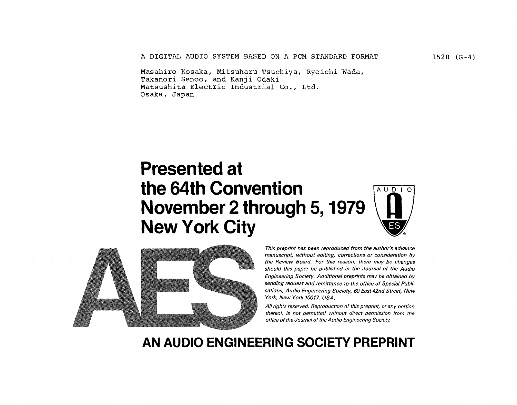A DIGITAL AUDIO SYSTEM BASED ON A PCM STANDARD FORMAT 1520 (G-4)

Masahiro Kosaka, Mitsuharu Tsuchiya, Ryoichi Wada, Takanori Senoo, and Kanji Odaki Matsushita Electric Industrial Co.**,** Ltd. Osaka, Japan

# **Presented at** the 64th Convention November 2 through 5, 1979 New York City





**This preprint has been reproduced from the author**'**s advance manuscript**, **without editing, corrections or consideration by the Review Board**. **For this reason, there may be changes should this paper be published/n the Journal of the Audio Engineering Society**. **Additional preprints may be obtained by sending request and remittance to the office of Special Pub/ications, Audio Engineering Societ**y, **60 East42nd Street, New York, New York 10017**, **USA**.

**All rights reserved**. **Reproduct**io**n of thispreprint, or anyportion thereof, is not permitted without direct permission from the office of the Journal of the Audio Engineering Society**.

# AN AUDIO ENGINEERING SOCIETY PREPRINT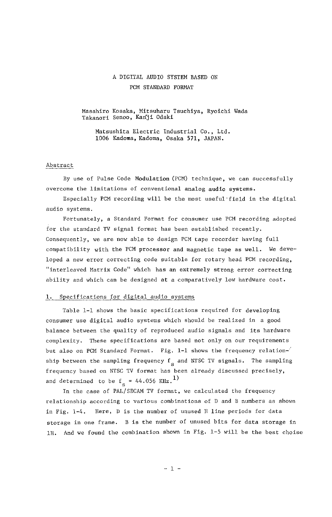# A DIGITAL AUDIO SYSTEM BASED ON PCM STANDARD FORMAT

Masahiro Kosaka, Mitsuharu Tsuehiya, Ryoichi Wada Takanori Senoo, Kanji Odaki

Matsushita Electric Industrial Co., Ltd. 1006 Kadoma, Kadoma, Osaka 571, JAPAN.

#### Abstract

By use of Pulse Code Modulation (PCM) technique, we can successfully overcome the limitations of conventional analog audio systems.

Especially PCM recording will be the most useful field in the digital audio systems.

Fortunately, a Standard Format for consumer use PCM recording adopted for the standard TV signal format has been established recently. Consequently, we are now able to design PCM tape recorder having full compatibility with the PCM processor and magnetic tape as well. We developed a new error correcting code suitable for rotary head PCM recording, "interleaved Matrix Code" which has an extremely strong error correcting ability and which can be designed at a comparatively iow hardware cost.

#### 1. Specifications for digital audio systems

Table 1-1 shows the basic specifications required for developing consumer use digital audio systems which should be realized in a good balance between the quality of reproduced audio signals and its hardware complexity. These specifications are based not only on our requirements but also on PCM Standard Format. Fig. 1-1 shows the frequency relation-<sup>1</sup>  ${\tt snip}$  between the sampling frequency  ${\rm r}_{_{\rm S}}$  and NTSC TV signals. The samplin frequency based on NTSC TV format has been already discussed precisely, and determined to be  $f_c = 44.056$  KHz.<sup>1)</sup>

In the case of PAL**/**SECAM TV format, we calculated the frequency relationship according to various combinations of D and B numbers as shown in Fig. 1-4. Here, D is the number of unused H line periods for data storage in one frame. B is the number of unused bits for data storage in iH. And we found the combination shown in Fig. 1-5 will be the best choise

- 1 -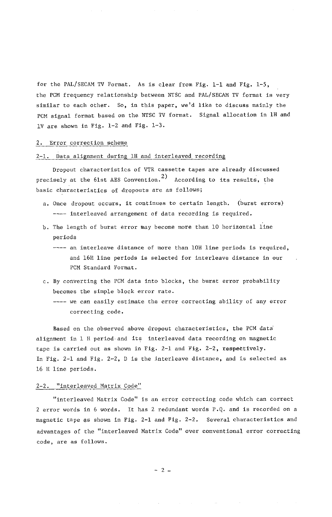for the PAL**/**SECAM TV Format. As is clear from Fig. 1-1 and Fig. 1-5, the PCM frequency relationship between NTSC and PAL**/**SECAM TV format is very similar to each other. So, in this paper, we'd like to discuss mainly the PCM signal format based on the NTSC TV format. Signal allocation in iH and iV are shown in Fig. 1-2 and Fig. 1-3.

#### 2. Error correction scheme

#### 2-1. Data alignment during 1H and interleaved recording

Dropout characteristics of VTR cassette tapes are already discussed precisely at the 61st AES Convention.<sup>2)</sup> According to its results, the basic characteristics of dropouts are as follows;

- a. Once dropout occurs, it continues to certain length. (burst errors) ---- interleaved arrangement of data recording is required.
- b. The length of burst error may become more than 10 horizontal l'ine periods
	- .... an interleave distance of more than 10H line periods is required, and 16H line periods is selected for interleave distance in our PCM Standard Format.
- c. By converting the PCM data into blocks, the burst error probability becomes the simple block error rate. .... we can easily estimate the error correcting ability of any error

correcting code.

Based on the observed above dropout characteristics, the PCM data alignment in 1 H period-and its interleaved data recording on magnetic tape is carried out as shown in Fig. 2-1 and Fig. 2-2, respectively. In Fig. 2-1 and Fig. 2-2, D is the interleave distance, and is selected as 16 H line periods.

#### 2-2. "interleaved Matrix Code"

"interleaved Matrix Code" is an error correcting code which can correct 2 error words in 6 words. It has 2 redundant words P.Q. and is recorded on a magnetic tape as shown in Fig. 2-1 and Fig. 2-2. Several characteristics and advantages of the "interleaved Matrix Code" over conventional error correcting code, are as follows.

 $- 2 -$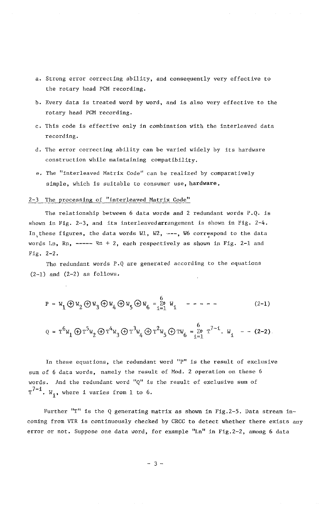- a. Strong error correcting ability, and consequently very effective to the rotary head PCM recording.
- b. Every data is treated word by word, and is also very effective to the rotary head PCM recording.
- c. This code is effective only in combination with the interleaved data recording.
- d. The error correcting ability can be varied widely by its hardware construction while maintaining compatibility.
- e, The "interleaved Matrix Code" can be realized by comparatively simple, which is suitable to consumer use, hardware.

### 2-3 The processing of "interleaved Matrix Code"

The relationship between 6 data words and 2 redundant words P.Q. is shown in Fig. 2-3, and its interleavedarrangement is shown in Fig. 2-4. In these figures, the data words W1,  $W2$ , ---, W6 correspond to the data words Ln, Rn, -----  $Rn + 2$ , each respectively as shown in Fig. 2-1 and Fig. 2-2.

The redundant words P.Q are generated according to the equations  $(2-1)$  and  $(2-2)$  as follows.

$$
P = W_1 \bigoplus W_2 \bigoplus W_3 \bigoplus W_4 \bigoplus W_5 \bigoplus W_6 = \sum_{i=1}^{6} W_i \qquad \qquad - - - - \qquad (2-1)
$$

$$
Q = T^6 W_1 \bigoplus T^5 W_2 \bigoplus T^4 W_3 \bigoplus T^3 W_4 \bigoplus T^2 W_5 \bigoplus T W_6 = \sum_{i=1}^6 T^{7-i} \cdot W_i
$$
 (2-2)

In these equations, the redundant word  $"P"$  is the result of exclusive sum of 6 data words, namely the result of Mod. 2 operation on these 6 words. And the redundant word "Q" is the result of exclusive sum of  $T^{7-i}$ . W<sub>i</sub>, where i varies from 1 to 6.

Further "T" is the Q generating matrix as shown in Fig. 2-5. Data stream incoming from VTR is continuously checked by CRCC to detect whether there exists any error or not. Suppose one data word, for example "Ln" in Fig.2-2, among 6 data

- 3-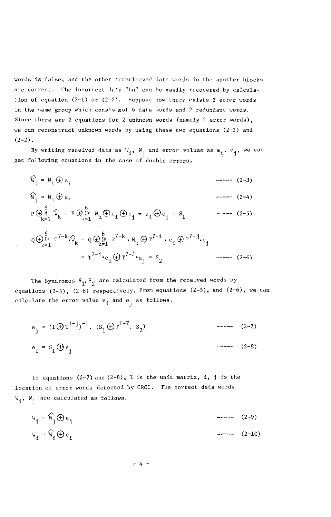words is false, and the other interleaved data words in the another blocks are correct. The incorrect data "Ln" can be easily recovered by calculation of equation  $(2-1)$  or  $(2-2)$ . Suppose now there exists 2 error words in the same group which consistsof 6 data words and 2 redundant words. Since there are 2 equations for 2 unknown words (namely 2 error words), we can reconstruct unknown words by using these two equations  $(2-1)$  and  $(2-2)$ .

By writing received data as  $W_i$ ,  $W_i$  and error values as  $e_i$ ,  $e_i$ , we can get following equations in the case of double errors.

\_i = Wi® ei .....(2-3)

$$
\widehat{w}_j = w_j \oplus e_j
$$

$$
P \bigoplus_{k=1}^{6} \widehat{w}_{k} = P \bigoplus_{k=1}^{6} \sum_{k=1}^{6} w_{k} \bigoplus e_{i} \bigoplus e_{j} = e_{i} \bigoplus e_{j} = S_{1} \qquad \qquad \text{--- (2-5)}
$$

$$
Q \bigoplus_{k=1}^{6} T^{7-k} \cdot \widehat{w}_{k} = Q \bigoplus_{k=1}^{6} T^{7-k} \cdot w_{k} \bigoplus T^{7-1} \cdot e_{1} \bigoplus T^{7-1} \cdot e_{j}
$$
  
=  $T^{7-1} \cdot e_{1} \bigoplus T^{7-1} \cdot e_{j} = S_{2}$ 

The Syndromes  $S_1$ ,  $S_2$  are calculated from the received words by equations  $(2-5)$ ,  $(2-6)$  respectively. From equations  $(2-5)$ , and  $(2-6)$ , we can calculate the error value  $e_i$  and  $e_j$  as follows.

e. = ' \_Ti-7 ] (IQTi-J) -1. (Si(\_**)** . S2) ..... (2-7) ei = SIQej ..... (2-8)

In equations (2-7) and (2-8), I is the unit matrix, i, j is the location of error words detected by CRCC. The correct data words

$$
\textbf{W}_{\textbf{i}}, \textbf{W}_{\textbf{j}} \text{ are calculated as follows.}
$$

 $W_j = \hat{W}_j \bigoplus e_j$  ...... (2-9) **/**x Wi= WiQe i ..... (2-10)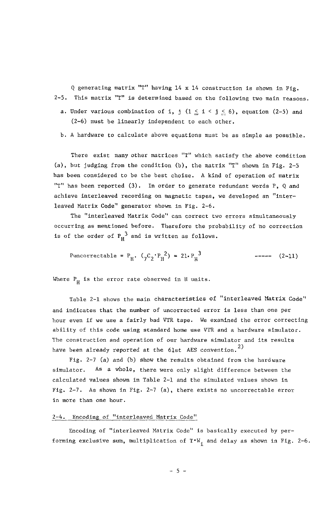Q generating matrix "T" having 14 x 14 construction is shown in Fig. 2-5. This matrix "T" is determined based on the following two main reasons.

- a. Under various combination of i, j  $(1 \leq i \leq j \leq 6)$ , equation (2-5) and (2-6) must be linearly independent to each other.
- b. A hardware to calculate above equations must be as simple as possible.

There exist many other matrices "T" which satisfy the above condition (a), but judging from the condition (b), the matrix "T" shown in Fig. 2-5 has been considered to be the best choise. A kind of operation of matrix "T" has been reported (3). In order to generate redundant words P, Q and achieve interleaved recording on magnetic tapes, we developed an "interleaved Matrix Code" generator shown in Fig. 2-6.

The "interleaved Matrix Code" can correct two errors simultaneously occurring as mentioned before. Therefore the probability of no correction is of the order of  $P_H^3$  and is written as follows.

Puncorrectable = 
$$
P_H
$$
,  $(\gamma C_2 \cdot P_H^2) = 21 \cdot P_H^3$  --- (2-11)

Where  $P_H$  is the error rate observed in H units.

Table 2-1 shows the main characteristics of "interleaved Matrix Code" and indicates that the number of uncorrected error is less than one per hour even if we use a fairly bad VTR tape. We examined the error correcting ability of this code using standard home use VTR and a hardware simulator. The construction and operation of our hardware simulator and its results have been already reported at the  $61st$  AES convention.<sup>2)</sup>

Fig. 2-7 (a) and (b) show the results obtained from the hardware simulator. As a whole, there were only slight difference between the calculated values shown in Table 2-1 and the simulated values shown in Fig. 2-7. As shown in Fig. 2-7 (a), there exists no uncorrectable error in more than one hour.

#### 2-4. Encoding of "interleaved Matrix Code"

Encoding of "interleaved Matrix Code" is basically executed by performing exclusive sum, multiplication of  $T^*W$ <sub>i</sub> and delay as shown in Fig. 2-6.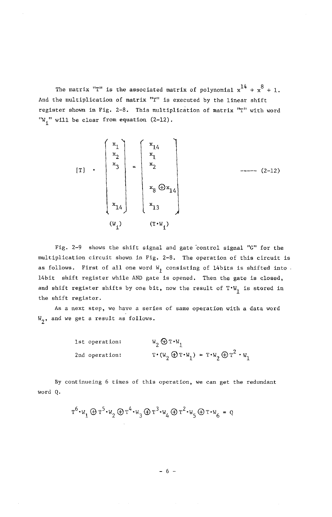The matrix "T" is the associated matrix of polynomial  $x^{14} + x^{8} + 1$ . And the multiplication of matrix "T" is executed by the linear shift register shown in Fig. 2-8. This multiplication of matrix "T" with word " $W_4$ " will be clear from equation (2-12).

$$
\begin{bmatrix} x_1 \\ x_2 \\ x_3 \\ x_4 \end{bmatrix} = \begin{bmatrix} x_{14} \\ x_1 \\ x_2 \\ x_3 \\ x_4 \end{bmatrix}
$$
 ----(2-12)  

$$
\begin{bmatrix} x_{14} \\ x_2 \\ x_3 \\ x_{13} \\ x_{13} \end{bmatrix}
$$
 ----(2-12)

Fig. 2-9 shows the shift signal and gate control signal "G" for the multiplication circuit shown in Fig. 2-8. The operation of this circuit is as follows. First of all one word  $W_1$  consisting of 14bits is shifted into. 14bit shift register while AND gate is opened. Then the gate is closed, and shift register shifts by one bit, now the result of  $T^*W_i$  is stored in the shift register.

As a next step, we have a series of same operation with a data word  $W_2$ , and we get a result as follows.

> 1st operation:  $W_2 \bigoplus T^*W_1$ 2nd operation:  $T'(W_2 \bigoplus T^*W_1) = T^*W_2 \bigoplus T^2 W_1$

By continueing 6 times of this operation, we can get the redundant word Q.

 $\tau^6 \cdot w_1 \oplus \tau^5 \cdot w_2 \oplus \tau^4 \cdot w_3 \oplus \tau^3 \cdot w_4 \oplus \tau^2 \cdot w_5 \oplus \tau \cdot w_6 = \varrho$ 

 $- 6 -$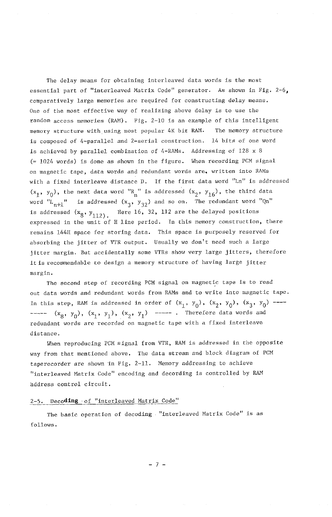The delay means for obtaining interleaved data words is the most essential part of "interleaved Matrix Code" generator. As shown in Fig.  $2-6$ , comparatively large memories are required for constructing delay means. One of the most effective way of realizing above delay is to use the random access memories (RAM). Fig. 2-10 is an example of this intelligent memory structure with using most popular 4K bit RAM. The memory structure is composed of 4-parallel and 2-serial construction. 14 bits of one word is achieved by parallel combination of 4-RAMs. Addressing of 128 x 8  $(= 1024 \text{ words})$  is done as shown in the figure. When recording PCM signal on magnetic tape, data words and redundant words are, written into 1**L**AMs with a fixed interleave distance D. If the first data word "Ln" is addressed  $(x_1, y_0)$ , the next data word "R<sub>n</sub>" is addressed  $(x_2, y_{16})$ , the third data<br>word "L<sub>n+1</sub>" is addressed  $(x_3, y_{32})$  and so on. The redundant word "Qn" where  $\frac{m+1}{n+1}$  is added (x3, Y32) and so on. The redundant word  $\frac{3}{2}$  , Y32 ) and so one. The redundant word  $\frac{3}{2}$  , Y32 )  $\alpha$  addressed (XS). Here 16, 32, 112 are the delayed positions of the delayed positions of the delayed positions of the delayed positions of the delayed positions of the delayed positions of the delayed positions of the expressed in the unit of H line period. In this memory construction, there remains 144H space for storing data. This space is purposely reserved for absorbing the jitter of VTR output. Usually we don't need such a large jitter margin. But accidentally some VTRs show very large jitters, therefore it is recommendable to design a memory structure of having large jitter margin.

The second step of recording PCM signal on magnetic tape is to read out data words and redundant words from RAMs and to write into magnetic tape. In this step, RAM is addressed in order of  $(x_1, y_0)$ ,  $(x_2, y_0)$ ,  $(x_3, y_0)$  ---------  $(x_8, y_0)$ ,  $(x_1, y_1)$ ,  $(x_2, y_1)$  ----- . Therefore data words and redundant words are recorded on magnetic tape with a fixed interleave distance.

When reproducing PCM signal from VTR, RAM is addressed in the opposite way from that mentioned above. The data stream and block diagram of PCM taperecorder are shown in Fig. 2-11. Memory addressing to achieve "interleaved Matrix Code" encoding and decording is controlled by RAM address control circuit.

## 2-5. Decoding of "interleaved Matrix Code"

The basic operation of decoding "interleaved Matrix Code" is as follows.

 $-7-$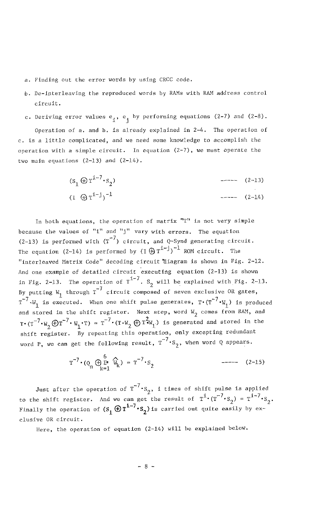- a. Finding out the error words by using CRCC code.
- b. De-interleaving the reproduced words by RAMs with RAM address control circuit.
- c. Deriving error values  $e_i$ ,  $e_i$  by performing equations (2-7) and (2-8).

Operation of a. and b. is already explained in 2-4. The operation of c. is a little complicated, and we need some knowledge to accomplish the operation with a simple circuit. In equation (2-7), we must operate the two main equations  $(2-13)$  and  $(2-14)$ .

$$
(s_1 \oplus r^{1-7} \cdot s_2) \qquad \qquad (2-13)
$$
  
\n
$$
(I \oplus r^{1-1})^{-1} \qquad \qquad (2-14)
$$

In both equations, the operation of matrix "T" is not very simple because the values of "i" and "j" vary with errors. The equation (2-13) is performed with  $(T^{-7})$  circuit, and Q-Synd generating circuit. The equation (2-14) is performed by  $(I \bigoplus T^{i-j})^{-1}$  ROM circuit. The "interleaved Matrix Code" decoding circuit \_iagram is shown in Fig. 2-12. And one example of detailed circuit executing equation (2-13) is shown in Fig. 2-13. The operation of  $\frac{1}{2}$  is  $\frac{2}{3}$  will be explained with Fig. 2-13.  $B_{\rm T}$  putting  $M_{\rm T}$  through T-7 circuit composes  $A_{\rm T}$ T-7. In the following generates, T-7. In the shift pulse generates, T-7'  $\mathcal{M}_\text{c}$  are produced. and stored in the shift register. Next step, word  $W_2$  comes from RAM, and  $T \cdot (T^{-7} \cdot W_2 \oplus T^{-7} \cdot W_1 \cdot T) = T^{-7} \cdot (T \cdot W_2 \oplus T^2 W_1)$  is generated and stored in the  $T^2$ ,  $T^2$ ,  $T^2$ ,  $T^2$ ,  $T^2$ ,  $T^2$ ,  $T^2$ ,  $T^2$ ,  $T^2$ ,  $T^2$ ,  $T^2$ ,  $T^2$ ,  $T^2$ ,  $T^2$ ,  $T^2$ ,  $T^2$ ,  $T^2$ ,  $T^2$ ,  $T^2$ ,  $T^2$ ,  $T^2$ ,  $T^2$ ,  $T^2$ ,  $T^2$ ,  $T^2$ ,  $T^2$ ,  $T^2$ ,  $T^2$ ,  $T^2$ ,  $T^2$ ,  $T^2$ ,  $T^2$ shift register. By repeating this operation, only excepting redundant word P, we can get the following result,  $T^{-7}$ 'S<sub>2</sub>, when word Q appears.

$$
T^{-7} \cdot (Q_n \bigoplus_{k=1}^{6} \hat{Q}_k) = T^{-7} \cdot S_2
$$
 --- (2-15)

Just after the operation of  $\frac{2}{2}$ , is a simplified in the shift pulse is applied in the shift pulse is applied in the shift pulse is applied in the shift pulse is applied in the shift pulse of  $\frac{2}{3}$ . The shift pul to the shift register. And we can get the result of  $T_2$ ,  $T_3$  ,  $T_2$ Finally the operation of  $\begin{pmatrix} 1 & 0 \\ 1 & 0 \end{pmatrix}$ clusive OR circuit.

Here, the operation of equation (2-14) will be explained below.

- 8 -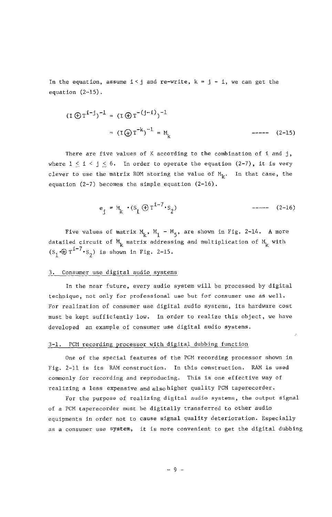In the equation, assume  $i < j$  and re-write,  $k = j - i$ , we can get the equation (2-15).

$$
(\mathbf{I} \oplus \mathbf{T}^{i-j})^{-1} = (\mathbf{I} \oplus \mathbf{T}^{-(j-i)})^{-1}
$$

$$
= (\mathbf{I} \oplus \mathbf{T}^{-k})^{-1} = M_{k}
$$

There are five values of  $K$  according to the combination of i and  $j$ , where  $1 \leq i \leq j \leq 6$ . In order to operate the equation (2-7), it is very clever to use the matrix ROM storing the value of  $M_k$ . In that case, the equation (2-7) becomes the simple equation (2-16).

ej = \_ .(Sl®zi-7.s 2) .....(2-16)

Ź

Five values of matrix  $M_k$ ,  $M_1 - M_5$ , are shown in Fig. 2-14. A more datailed circuit of  $M_k$  matrix addressing and multiplication of  $M_k$  with  $(S_1 \oplus T^{1-7} \cdot S_2)$  is shown in Fig. 2-15.

#### 3. Consumer use digital audio systems

In the near future, every audio system will be processed by digital technique, not only for professional use but for consumer use as well. For realization of consumer use digital audio systems, its hardware cost must be kept sufficiently low. In order to realize this object, we have developed an example of consumer use digital audio systems.

## 3-1. PCM recording processor with digital dubbing function

One of the special features of the PCM recording processor shown in Fig. 2-11 is its RAM construction. In this construction. RAM is used commonly for recording and reproducing. This is one effective way of realizing a less expensive and also higher quality PCM taperecorder.

For the purpose of realizing digital audio systems, the output signal of a PCM taperecorder must be digitally transferred to other audio equipments in order not to cause signal quality deterioration. Especially as a consumer use system, it is more convenient to get the digital dubbing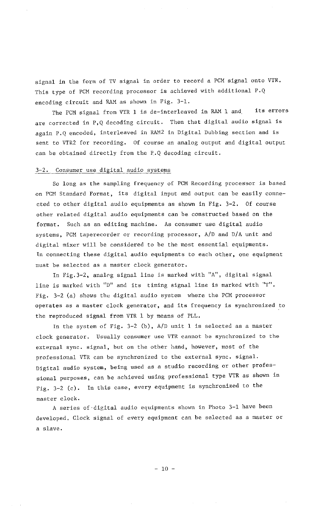signal in the form of TV signal in order to record a PCM signal onto VTR. This type of PCM recording processor is achieved with additional P.Q encoding circuit and RAM as shown in Fig. 3-1.

The PCM signal from VTR 1 is de-interleaved in RAM 1 and its errors are corrected in P,Q decoding circuit. Then that digital audio signal is again P.Q encoded, interleaved in RAM2 in Digital Dubbing section and is sent to VTR2 for recording. Of course an analog output and digital output can be obtained directly from the P.Q decoding circuit.

#### 3-2. Consumer use digital audio systems

So long as the sampling frequency of PCM Recording processor is based on PCM Standard Format, its digital input and output can be easily connected to other digital audio equipments as shown in Fig. 3-2. Of course other related digital audio equipments can be constructed based on the format. Such as an editing machine. As consumer use digital audio systems, PCM taperecorder or recording processor, A**/**D and D**/**A unit and digital mixer will be considered to be the most essential equipments. In connecting these digital audio equipments to each other, one equipment must be selected as a master clock generator.

In Fig.3-2, analog signal line is marked with "A", digital signal line is marked with "D" and its timing signal line is marked with "T". Fig. 3-2 (a) shows the digital audio system where the PCM processor operates as a master clock generator, and its frequency is synchronized to the reproduced signal from VTR 1 by means of PLL.

In the system of Fig. 3-2 (b), A**/**D unit 1 is selected as a master clock generator. Usually consumer use VTR cannot be synchronized to the external sync. signal, but on the other hand, however, most of the professional VTR can be synchronized to the external sync. signal. Digital audio system, being used as a studio recording or other professional purposes, can be achieved using professional type VTR as shown in Fig. 3-2 (c). In this case, every equipment is synchronized to the master clock.

A series of digital audio equipments shown in Photo 3-1 have been developed. Clock signal of every equipment can be selected as a master or a slave.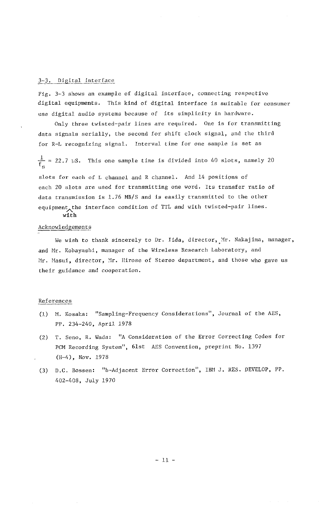#### 3-3. Digital interface

Fig. 3-3 shows an example of digital interface, connecting respective digital equipments. This kind of digital interface is suitable for oonsumer use digital audio systems because of its simplicity in hardware.

Only three twisted-pair lines are required. One is for transmitting data signals serially, the second for shift clock signal, and the third for R-L recognizing signal. Interval time for one sample is set as

 $\overline{f_s}$  = 22.7 µs. This one sample time is divided into 40 slots, namely 20 slots for each of L channel and R channel. And 14 positions of each 20 slots are used for transmitting one word. Its transfer ratio of data transmission is 1.76 MB**/**S and is easily transmitted to the other equipment the interface condition of TTL and with twisted-pair lines. with

# Acknowledgements

We wish to thank sincerely to Dr. Iida, director, Mr. Nakajima, manager, and Mr. Kobayashi, manager of the Wireless Research Laboratory, and Mr. Masui, director, Mr. Hirose of Stereo department, and those who gave us their guidance and cooperation.

#### References

- (1) H. Kosaka: "Sampling-Frequency Considerations", Journal of the AES, PP. 234-240, April 1978
- (2) T. Seno, R. Wada: "A Consideration of the Error Correcting Codes for PCM Recording System", 61st AES Convention, preprint No. 1397 (H-4), Nov. 1978
- (3) D.C. Bossen: "b-Adjacent Error Correction", IBH J. RES. DEVELOP, PP. 402-408, July 1970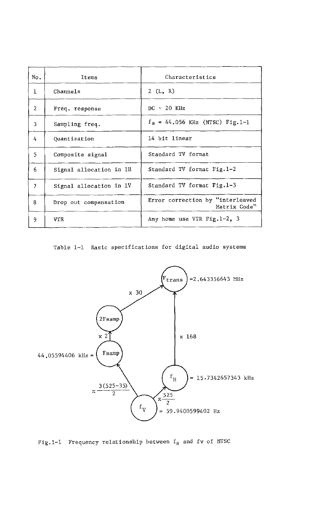| No.            | Items                   | Characteristics                                  |
|----------------|-------------------------|--------------------------------------------------|
| 1              | Channels                | 2 $(L, R)$                                       |
| $\overline{2}$ | Freq. response          | $DC - 20$ Kilz                                   |
| 3              | Sampling freq.          | $f_s = 44.056$ KHz (NTSC) Fig.1-1                |
| 4              | Quantization            | 14 bit linear                                    |
| 5              | Composite signal        | Standard TV format                               |
| 6              | Signal allocation in 1H | Standard TV format Fig.1-2                       |
| $\overline{7}$ | Signal allocation in 1V | Standard TV format Fig.1-3                       |
| 8              | Drop out compensation   | Error correction by "interleaved<br>Matrix Code" |
| 9              | VTR                     | Any home use VTR Fig. $1-2$ , 3                  |

Table 1-1 Basic specifications for digital audio systems



Fig.1-1 Frequency relationship between  $f_s$  and fv of MTSC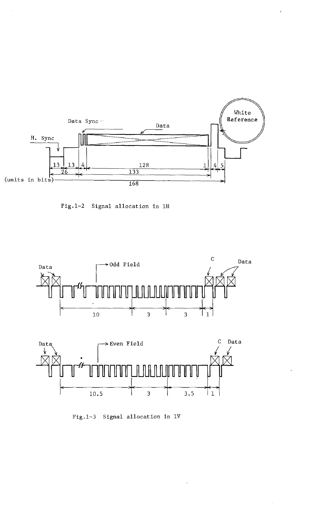

 $\omega$  , and  $\omega$  , and  $\omega$  , and  $\omega$  , and  $\omega$  , and  $\omega$ 

Fig.1-2 Signal allocation in 1H





Fig.1-3 Signal allocation in 1V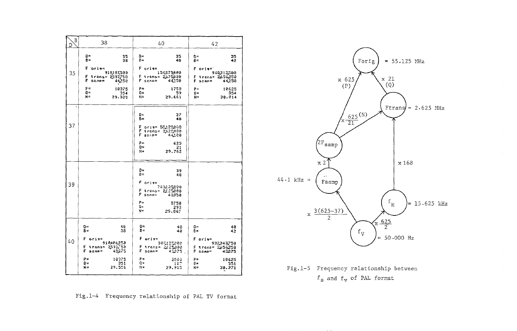| B<br>D               | 38                                                                                                                                             | 40                                                                                                                                       | 42                                                                                                                               |
|----------------------|------------------------------------------------------------------------------------------------------------------------------------------------|------------------------------------------------------------------------------------------------------------------------------------------|----------------------------------------------------------------------------------------------------------------------------------|
| 35                   | Đ=<br>35<br>$B =$<br>38<br>F ories<br>918187503<br>F trans= 2593750<br>F sanp=<br>44258<br>$P =$<br>10375<br>$\Omega =$<br>354<br>N=<br>29.309 | ū=<br>35<br>윤초<br>48<br>F oris=<br>154875680<br>F trans= 2675000<br>F sanp=<br>44250<br>1750<br>₽≈<br>59<br>Ω=<br>29.661<br>H=           | 35<br>Đ=<br>42<br>B=<br>Forie-<br>940312500<br>F trans= 2656250<br>F scap=<br>44258<br>18625<br>P=<br>Q=<br>354<br>30.014<br>N=  |
| $\blacksquare$<br>37 |                                                                                                                                                | 37<br>D=<br>₿≈<br>49<br>F orig= 55125000<br>$F$ trans= $2525999$<br>F sonp= 44120<br>۴≃<br>625<br>9=<br>21<br>29.762<br>N=               |                                                                                                                                  |
| 39                   |                                                                                                                                                | ΰ=<br>39<br>₿≈<br>48<br>F ori9≖<br>763125000<br>F trans= 2525000<br>F sanp≃<br>43358<br>$P =$<br>3759<br>C=<br>293<br>N=<br>29.863       |                                                                                                                                  |
| 40                   | D=<br>46<br>38<br>B≈<br>F oris=<br>918486258<br>F trans= 2533750<br>F sann=<br>43875<br>18375<br>P=<br>D⇒<br>351<br>29.558<br>N≈               | Đ=<br>48<br>$B =$<br>48<br>$For 19 =$<br>307125688<br>F trans= 2625000<br>F sanc=<br>43275<br>$P =$<br>3505<br>Q=<br>117<br>N=<br>29.915 | Đ=<br>48<br>42<br>B≕<br>F orie=<br>932343750<br>F trans= 2656258<br>F samp=<br>43875<br>P=<br>18625<br>0≖<br>351<br>N=<br>30.271 |

Fig.1-4 Frequency relationship of PAL TV format



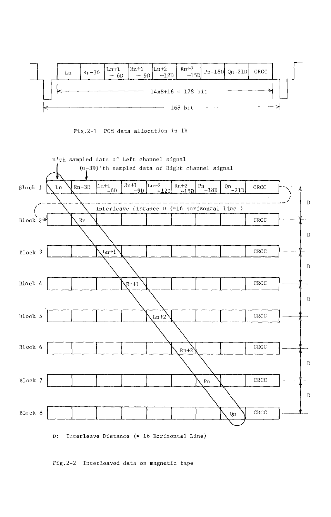

Fig.2-1 PCM data allocation in 1H



D: Interleave Distance (= 16 Horizontal Line)

Fig.2-2 Interleaved data on magnetic tape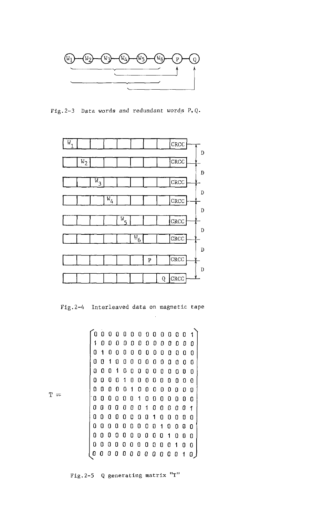

Fig.2-3 Data words and redundant words P,Q.



Fig.2-4 Interleaved data on magnetic tape

\_00000000000001' 10000000000000 01000000000000 00100000000000 00010000000000 00001000000000 00000100000000 T= '00 O0 O010000000 00000001000001 00000000100000 00000000010000 00000000001000 00000000000100 00000000000010

Fig. 2-5 Q generating matrix "T"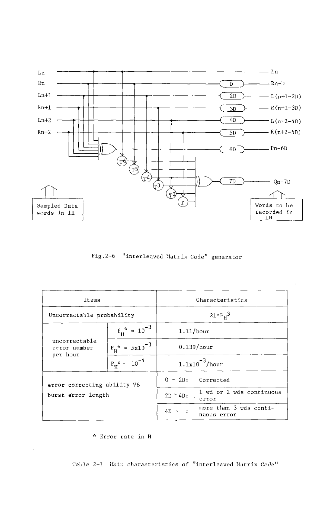

Fig. 2-6 "interleaved Matrix Code" generator

| Items                         |                            | Characteristics                                    |
|-------------------------------|----------------------------|----------------------------------------------------|
| Uncorrectable probability     |                            | $21 \cdot P_H^3$                                   |
|                               | $P_H^* = 10^{-3}$          | 1.11/hour                                          |
| uncorrectable<br>error number | $P_H^* = 5 \times 10^{-3}$ | $0.139/h$ our                                      |
| per hour                      | $P_H^* = 10^{-4}$          | $1.1x10^{-3}/$ hour                                |
| error correcting ability VS   |                            | $0 \sim 2D$ : Corrected                            |
| burst error length            |                            | 1 wd or 2 wds continuous<br>$2D \sim 4D$ : error   |
|                               |                            | more than 3 wds conti-<br>$4D \sim$<br>nuous error |

# \* Error rate in H

Table 2-1 Main characteristics of "interleaved Matrix Code"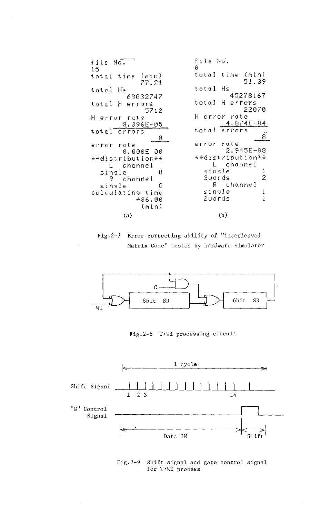file No. file No. Ø  $15$ total time (min) total time  $(nin)$ 51.39 77.21 total Hs total - His 45278167 68032747 total H errors total H errors 22070 5712 H error rate H error rate 4.874E-04 8.396E-05 total errors total errors 8 Ø error rate error rate 2.945E-08 0.000E 00 \*\*distribution\*\* \*\*distribution\*\* L channel L. channel sinale  $\mathbf{1}$ single  $\mathfrak g$  $\tilde{z}$ 2words R. channel R channel Θ sinale sinale  $\mathbf{1}$ calculating time  $+36.00$ **2words** 1 (min)  $(b)$  $(a)$ 

Fig. 2-7 Error correcting ability of "interleaved Matrix Code" tested by hardware simulator



Fig.2-8 T.Wi processing circuit



Fig.2-9 Shift signal and gate control signal for T.Wi process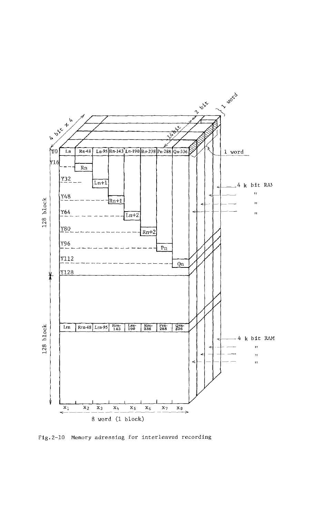

Fig.2-10 Memory adressing for interleaved recording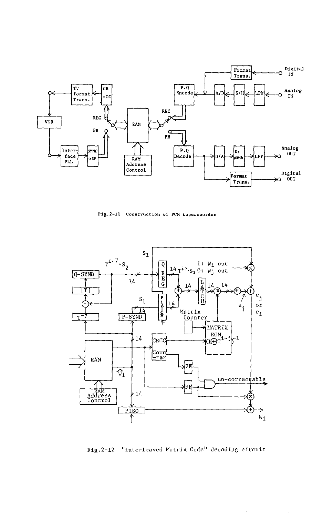

Fig.2-11 Construction of PCM taperecorder



Fig.2-12 "interleaved Matrix Code" decoding circuit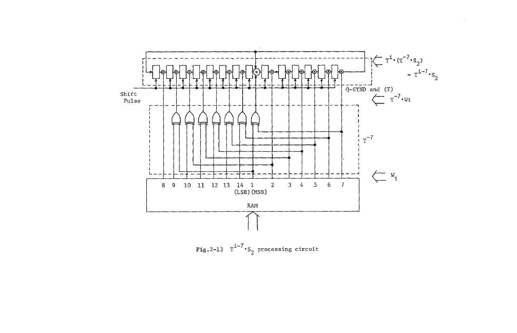

Fig. 2-13  $T^{1-7}$ . S<sub>2</sub> processing circuit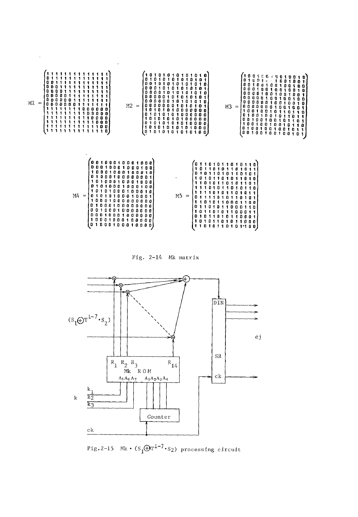

 $Fig. 2-14$  Mk matrix



Fig. 2-15 Mk  $\cdot$  (S<sub>1</sub> $\oplus$ T<sup>1-7</sup> $\cdot$ S<sub>2</sub>) processing circuit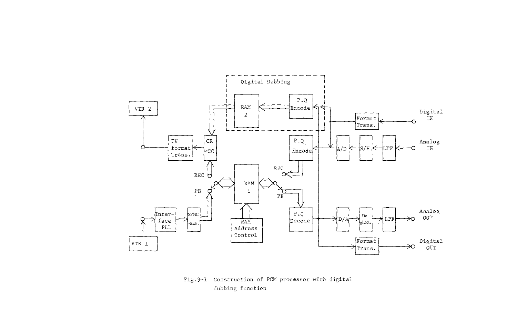

Fig.3-1 Construction of PCM processor with digital dubbing function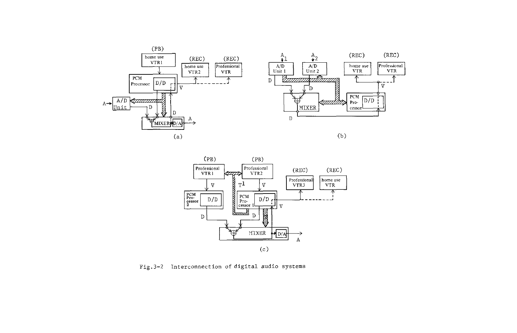



 $(b)$ 



Fig.3-2 Interconnection of digital audio systems